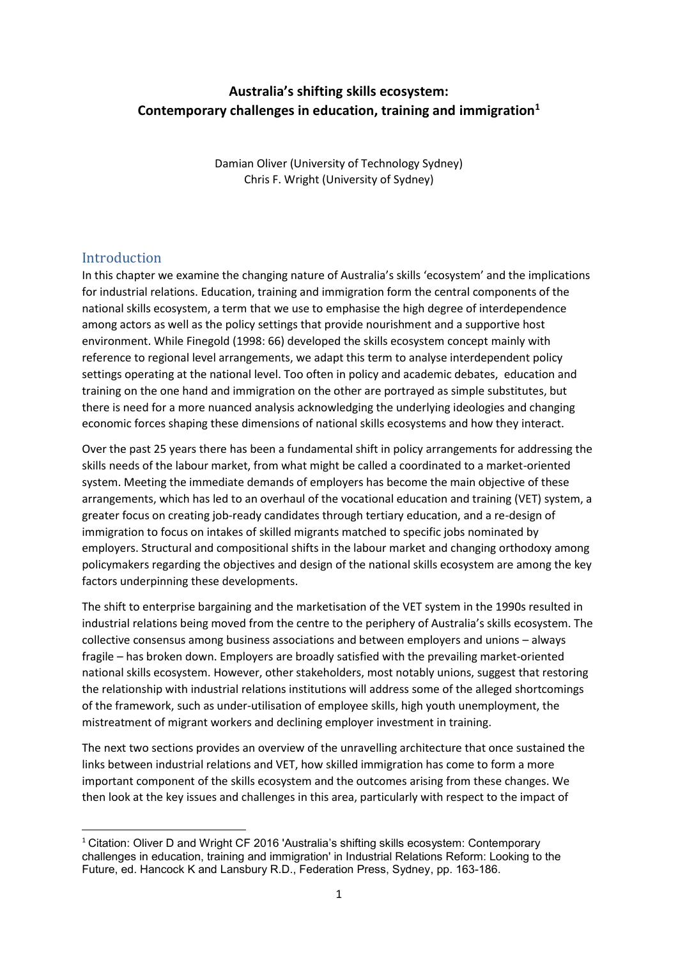# **Australia's shifting skills ecosystem: Contemporary challenges in education, training and immigration<sup>1</sup>**

Damian Oliver (University of Technology Sydney) Chris F. Wright (University of Sydney)

# **Introduction**

**.** 

In this chapter we examine the changing nature of Australia's skills 'ecosystem' and the implications for industrial relations. Education, training and immigration form the central components of the national skills ecosystem, a term that we use to emphasise the high degree of interdependence among actors as well as the policy settings that provide nourishment and a supportive host environment. While Finegold (1998: 66) developed the skills ecosystem concept mainly with reference to regional level arrangements, we adapt this term to analyse interdependent policy settings operating at the national level. Too often in policy and academic debates, education and training on the one hand and immigration on the other are portrayed as simple substitutes, but there is need for a more nuanced analysis acknowledging the underlying ideologies and changing economic forces shaping these dimensions of national skills ecosystems and how they interact.

Over the past 25 years there has been a fundamental shift in policy arrangements for addressing the skills needs of the labour market, from what might be called a coordinated to a market-oriented system. Meeting the immediate demands of employers has become the main objective of these arrangements, which has led to an overhaul of the vocational education and training (VET) system, a greater focus on creating job-ready candidates through tertiary education, and a re-design of immigration to focus on intakes of skilled migrants matched to specific jobs nominated by employers. Structural and compositional shifts in the labour market and changing orthodoxy among policymakers regarding the objectives and design of the national skills ecosystem are among the key factors underpinning these developments.

The shift to enterprise bargaining and the marketisation of the VET system in the 1990s resulted in industrial relations being moved from the centre to the periphery of Australia's skills ecosystem. The collective consensus among business associations and between employers and unions – always fragile – has broken down. Employers are broadly satisfied with the prevailing market-oriented national skills ecosystem. However, other stakeholders, most notably unions, suggest that restoring the relationship with industrial relations institutions will address some of the alleged shortcomings of the framework, such as under-utilisation of employee skills, high youth unemployment, the mistreatment of migrant workers and declining employer investment in training.

The next two sections provides an overview of the unravelling architecture that once sustained the links between industrial relations and VET, how skilled immigration has come to form a more important component of the skills ecosystem and the outcomes arising from these changes. We then look at the key issues and challenges in this area, particularly with respect to the impact of

 $1$  Citation: Oliver D and Wright CF 2016 'Australia's shifting skills ecosystem: Contemporary challenges in education, training and immigration' in Industrial Relations Reform: Looking to the Future, ed. Hancock K and Lansbury R.D., Federation Press, Sydney, pp. 163-186.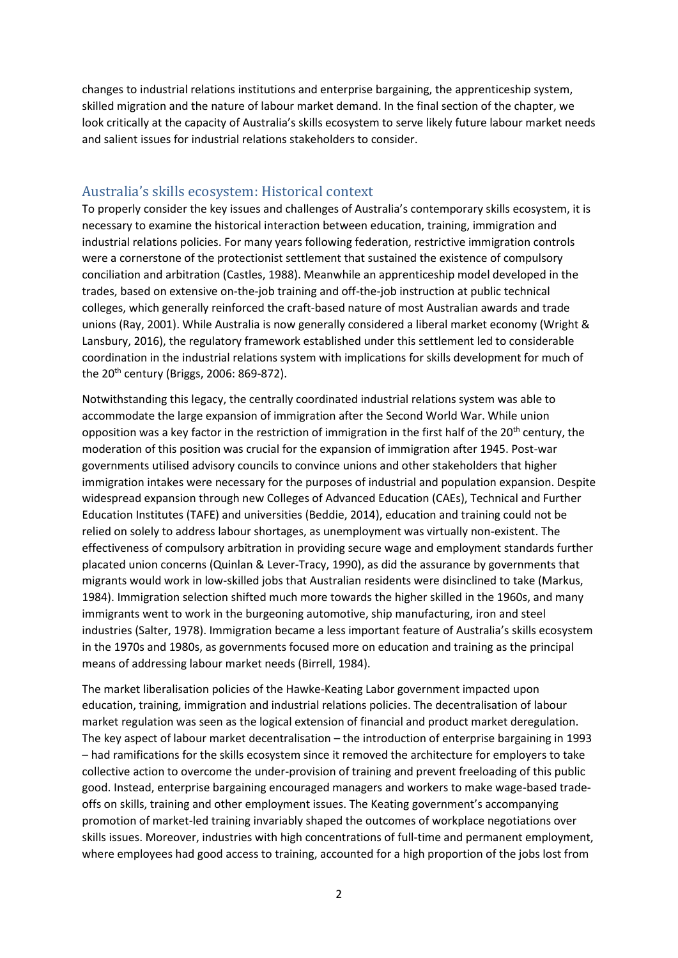changes to industrial relations institutions and enterprise bargaining, the apprenticeship system, skilled migration and the nature of labour market demand. In the final section of the chapter, we look critically at the capacity of Australia's skills ecosystem to serve likely future labour market needs and salient issues for industrial relations stakeholders to consider.

## Australia's skills ecosystem: Historical context

To properly consider the key issues and challenges of Australia's contemporary skills ecosystem, it is necessary to examine the historical interaction between education, training, immigration and industrial relations policies. For many years following federation, restrictive immigration controls were a cornerstone of the protectionist settlement that sustained the existence of compulsory conciliation and arbitration (Castles, 1988). Meanwhile an apprenticeship model developed in the trades, based on extensive on-the-job training and off-the-job instruction at public technical colleges, which generally reinforced the craft-based nature of most Australian awards and trade unions (Ray, 2001). While Australia is now generally considered a liberal market economy (Wright & Lansbury, 2016), the regulatory framework established under this settlement led to considerable coordination in the industrial relations system with implications for skills development for much of the  $20^{th}$  century (Briggs, 2006: 869-872).

Notwithstanding this legacy, the centrally coordinated industrial relations system was able to accommodate the large expansion of immigration after the Second World War. While union opposition was a key factor in the restriction of immigration in the first half of the  $20<sup>th</sup>$  century, the moderation of this position was crucial for the expansion of immigration after 1945. Post-war governments utilised advisory councils to convince unions and other stakeholders that higher immigration intakes were necessary for the purposes of industrial and population expansion. Despite widespread expansion through new Colleges of Advanced Education (CAEs), Technical and Further Education Institutes (TAFE) and universities (Beddie, 2014), education and training could not be relied on solely to address labour shortages, as unemployment was virtually non-existent. The effectiveness of compulsory arbitration in providing secure wage and employment standards further placated union concerns (Quinlan & Lever-Tracy, 1990), as did the assurance by governments that migrants would work in low-skilled jobs that Australian residents were disinclined to take (Markus, 1984). Immigration selection shifted much more towards the higher skilled in the 1960s, and many immigrants went to work in the burgeoning automotive, ship manufacturing, iron and steel industries (Salter, 1978). Immigration became a less important feature of Australia's skills ecosystem in the 1970s and 1980s, as governments focused more on education and training as the principal means of addressing labour market needs (Birrell, 1984).

The market liberalisation policies of the Hawke-Keating Labor government impacted upon education, training, immigration and industrial relations policies. The decentralisation of labour market regulation was seen as the logical extension of financial and product market deregulation. The key aspect of labour market decentralisation – the introduction of enterprise bargaining in 1993 – had ramifications for the skills ecosystem since it removed the architecture for employers to take collective action to overcome the under-provision of training and prevent freeloading of this public good. Instead, enterprise bargaining encouraged managers and workers to make wage-based tradeoffs on skills, training and other employment issues. The Keating government's accompanying promotion of market-led training invariably shaped the outcomes of workplace negotiations over skills issues. Moreover, industries with high concentrations of full-time and permanent employment, where employees had good access to training, accounted for a high proportion of the jobs lost from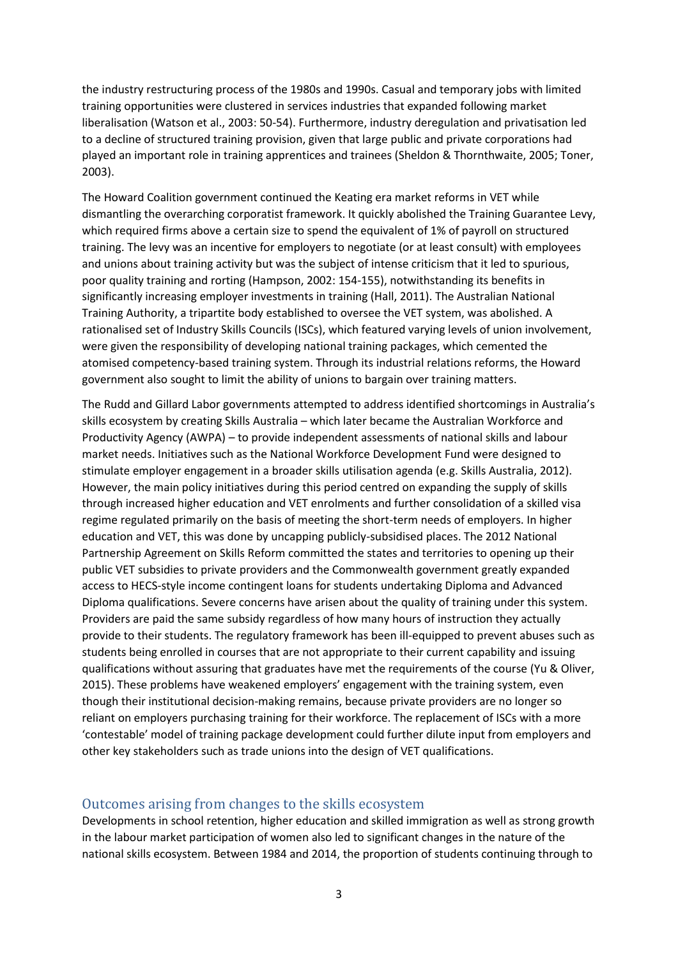the industry restructuring process of the 1980s and 1990s. Casual and temporary jobs with limited training opportunities were clustered in services industries that expanded following market liberalisation (Watson et al., 2003: 50-54). Furthermore, industry deregulation and privatisation led to a decline of structured training provision, given that large public and private corporations had played an important role in training apprentices and trainees (Sheldon & Thornthwaite, 2005; Toner, 2003).

The Howard Coalition government continued the Keating era market reforms in VET while dismantling the overarching corporatist framework. It quickly abolished the Training Guarantee Levy, which required firms above a certain size to spend the equivalent of 1% of payroll on structured training. The levy was an incentive for employers to negotiate (or at least consult) with employees and unions about training activity but was the subject of intense criticism that it led to spurious, poor quality training and rorting (Hampson, 2002: 154-155), notwithstanding its benefits in significantly increasing employer investments in training (Hall, 2011). The Australian National Training Authority, a tripartite body established to oversee the VET system, was abolished. A rationalised set of Industry Skills Councils (ISCs), which featured varying levels of union involvement, were given the responsibility of developing national training packages, which cemented the atomised competency-based training system. Through its industrial relations reforms, the Howard government also sought to limit the ability of unions to bargain over training matters.

The Rudd and Gillard Labor governments attempted to address identified shortcomings in Australia's skills ecosystem by creating Skills Australia – which later became the Australian Workforce and Productivity Agency (AWPA) – to provide independent assessments of national skills and labour market needs. Initiatives such as the National Workforce Development Fund were designed to stimulate employer engagement in a broader skills utilisation agenda (e.g. Skills Australia, 2012). However, the main policy initiatives during this period centred on expanding the supply of skills through increased higher education and VET enrolments and further consolidation of a skilled visa regime regulated primarily on the basis of meeting the short-term needs of employers. In higher education and VET, this was done by uncapping publicly-subsidised places. The 2012 National Partnership Agreement on Skills Reform committed the states and territories to opening up their public VET subsidies to private providers and the Commonwealth government greatly expanded access to HECS-style income contingent loans for students undertaking Diploma and Advanced Diploma qualifications. Severe concerns have arisen about the quality of training under this system. Providers are paid the same subsidy regardless of how many hours of instruction they actually provide to their students. The regulatory framework has been ill-equipped to prevent abuses such as students being enrolled in courses that are not appropriate to their current capability and issuing qualifications without assuring that graduates have met the requirements of the course (Yu & Oliver, 2015). These problems have weakened employers' engagement with the training system, even though their institutional decision-making remains, because private providers are no longer so reliant on employers purchasing training for their workforce. The replacement of ISCs with a more 'contestable' model of training package development could further dilute input from employers and other key stakeholders such as trade unions into the design of VET qualifications.

### Outcomes arising from changes to the skills ecosystem

Developments in school retention, higher education and skilled immigration as well as strong growth in the labour market participation of women also led to significant changes in the nature of the national skills ecosystem. Between 1984 and 2014, the proportion of students continuing through to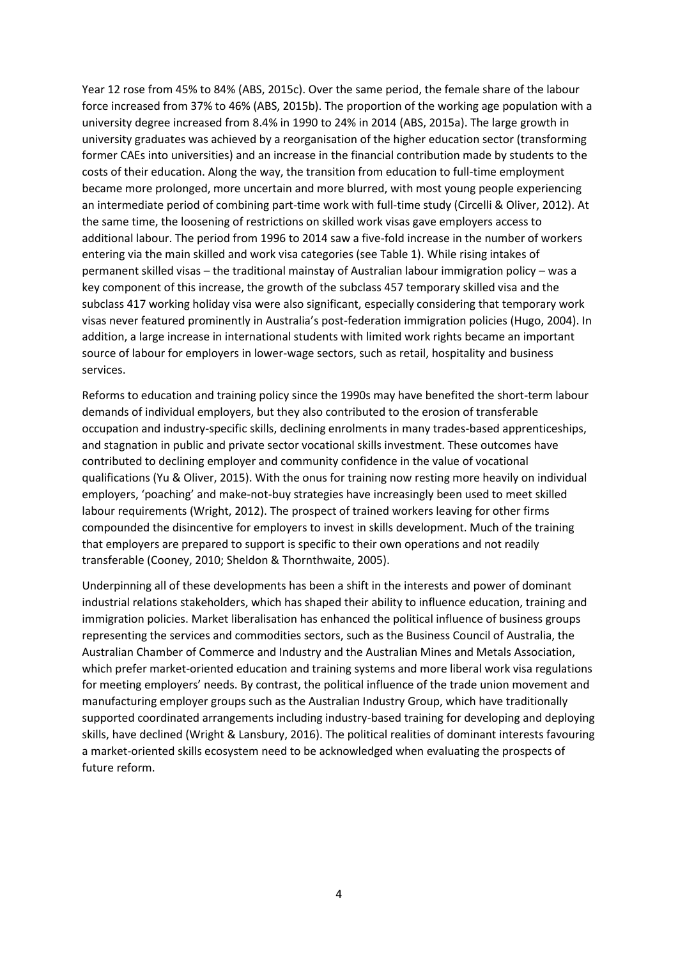Year 12 rose from 45% to 84% (ABS, 2015c). Over the same period, the female share of the labour force increased from 37% to 46% (ABS, 2015b). The proportion of the working age population with a university degree increased from 8.4% in 1990 to 24% in 2014 (ABS, 2015a). The large growth in university graduates was achieved by a reorganisation of the higher education sector (transforming former CAEs into universities) and an increase in the financial contribution made by students to the costs of their education. Along the way, the transition from education to full-time employment became more prolonged, more uncertain and more blurred, with most young people experiencing an intermediate period of combining part-time work with full-time study (Circelli & Oliver, 2012). At the same time, the loosening of restrictions on skilled work visas gave employers access to additional labour. The period from 1996 to 2014 saw a five-fold increase in the number of workers entering via the main skilled and work visa categories (see Table 1). While rising intakes of permanent skilled visas – the traditional mainstay of Australian labour immigration policy – was a key component of this increase, the growth of the subclass 457 temporary skilled visa and the subclass 417 working holiday visa were also significant, especially considering that temporary work visas never featured prominently in Australia's post-federation immigration policies (Hugo, 2004). In addition, a large increase in international students with limited work rights became an important source of labour for employers in lower-wage sectors, such as retail, hospitality and business services.

Reforms to education and training policy since the 1990s may have benefited the short-term labour demands of individual employers, but they also contributed to the erosion of transferable occupation and industry-specific skills, declining enrolments in many trades-based apprenticeships, and stagnation in public and private sector vocational skills investment. These outcomes have contributed to declining employer and community confidence in the value of vocational qualifications (Yu & Oliver, 2015). With the onus for training now resting more heavily on individual employers, 'poaching' and make-not-buy strategies have increasingly been used to meet skilled labour requirements (Wright, 2012). The prospect of trained workers leaving for other firms compounded the disincentive for employers to invest in skills development. Much of the training that employers are prepared to support is specific to their own operations and not readily transferable (Cooney, 2010; Sheldon & Thornthwaite, 2005).

Underpinning all of these developments has been a shift in the interests and power of dominant industrial relations stakeholders, which has shaped their ability to influence education, training and immigration policies. Market liberalisation has enhanced the political influence of business groups representing the services and commodities sectors, such as the Business Council of Australia, the Australian Chamber of Commerce and Industry and the Australian Mines and Metals Association, which prefer market-oriented education and training systems and more liberal work visa regulations for meeting employers' needs. By contrast, the political influence of the trade union movement and manufacturing employer groups such as the Australian Industry Group, which have traditionally supported coordinated arrangements including industry-based training for developing and deploying skills, have declined (Wright & Lansbury, 2016). The political realities of dominant interests favouring a market-oriented skills ecosystem need to be acknowledged when evaluating the prospects of future reform.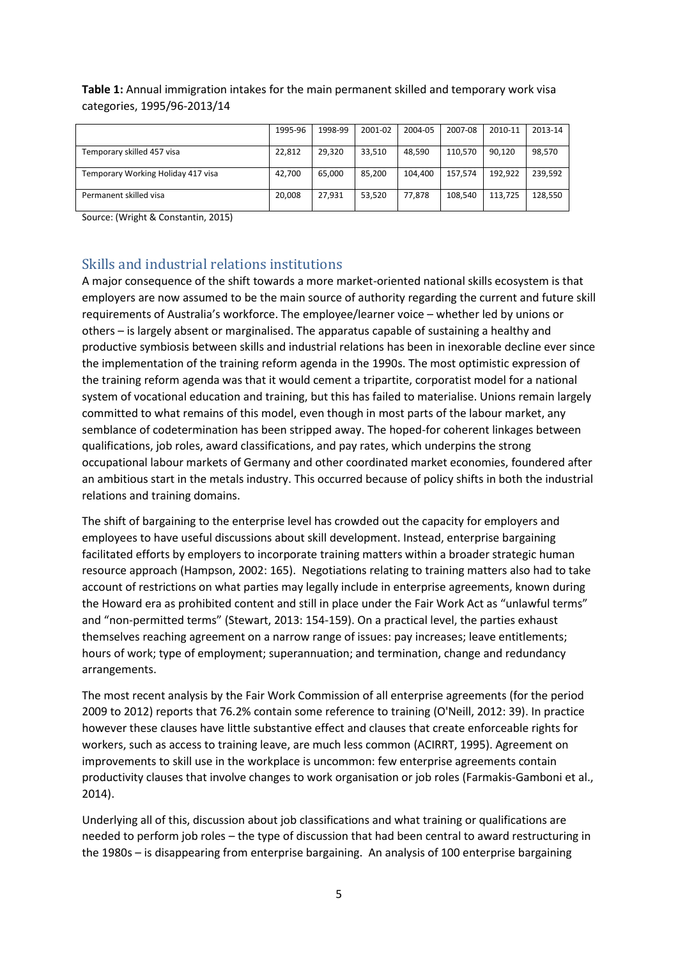|                                    | 1995-96 | 1998-99 | 2001-02 | 2004-05 | 2007-08 | 2010-11 | 2013-14 |
|------------------------------------|---------|---------|---------|---------|---------|---------|---------|
| Temporary skilled 457 visa         | 22,812  | 29.320  | 33.510  | 48,590  | 110.570 | 90.120  | 98,570  |
| Temporary Working Holiday 417 visa | 42,700  | 65.000  | 85,200  | 104,400 | 157.574 | 192.922 | 239.592 |
| Permanent skilled visa             | 20,008  | 27.931  | 53.520  | 77.878  | 108.540 | 113.725 | 128,550 |

**Table 1:** Annual immigration intakes for the main permanent skilled and temporary work visa categories, 1995/96-2013/14

Source: (Wright & Constantin, 2015)

### Skills and industrial relations institutions

A major consequence of the shift towards a more market-oriented national skills ecosystem is that employers are now assumed to be the main source of authority regarding the current and future skill requirements of Australia's workforce. The employee/learner voice – whether led by unions or others – is largely absent or marginalised. The apparatus capable of sustaining a healthy and productive symbiosis between skills and industrial relations has been in inexorable decline ever since the implementation of the training reform agenda in the 1990s. The most optimistic expression of the training reform agenda was that it would cement a tripartite, corporatist model for a national system of vocational education and training, but this has failed to materialise. Unions remain largely committed to what remains of this model, even though in most parts of the labour market, any semblance of codetermination has been stripped away. The hoped-for coherent linkages between qualifications, job roles, award classifications, and pay rates, which underpins the strong occupational labour markets of Germany and other coordinated market economies, foundered after an ambitious start in the metals industry. This occurred because of policy shifts in both the industrial relations and training domains.

The shift of bargaining to the enterprise level has crowded out the capacity for employers and employees to have useful discussions about skill development. Instead, enterprise bargaining facilitated efforts by employers to incorporate training matters within a broader strategic human resource approach (Hampson, 2002: 165). Negotiations relating to training matters also had to take account of restrictions on what parties may legally include in enterprise agreements, known during the Howard era as prohibited content and still in place under the Fair Work Act as "unlawful terms" and "non-permitted terms" (Stewart, 2013: 154-159). On a practical level, the parties exhaust themselves reaching agreement on a narrow range of issues: pay increases; leave entitlements; hours of work; type of employment; superannuation; and termination, change and redundancy arrangements.

The most recent analysis by the Fair Work Commission of all enterprise agreements (for the period 2009 to 2012) reports that 76.2% contain some reference to training (O'Neill, 2012: 39). In practice however these clauses have little substantive effect and clauses that create enforceable rights for workers, such as access to training leave, are much less common (ACIRRT, 1995). Agreement on improvements to skill use in the workplace is uncommon: few enterprise agreements contain productivity clauses that involve changes to work organisation or job roles (Farmakis-Gamboni et al., 2014).

Underlying all of this, discussion about job classifications and what training or qualifications are needed to perform job roles – the type of discussion that had been central to award restructuring in the 1980s – is disappearing from enterprise bargaining. An analysis of 100 enterprise bargaining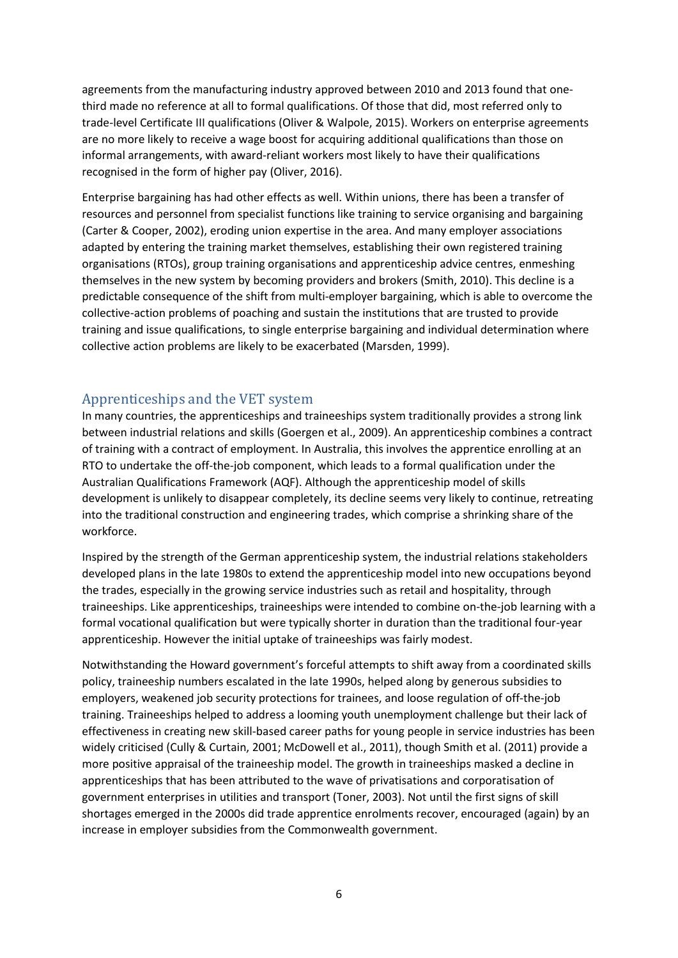agreements from the manufacturing industry approved between 2010 and 2013 found that onethird made no reference at all to formal qualifications. Of those that did, most referred only to trade-level Certificate III qualifications (Oliver & Walpole, 2015). Workers on enterprise agreements are no more likely to receive a wage boost for acquiring additional qualifications than those on informal arrangements, with award-reliant workers most likely to have their qualifications recognised in the form of higher pay (Oliver, 2016).

Enterprise bargaining has had other effects as well. Within unions, there has been a transfer of resources and personnel from specialist functions like training to service organising and bargaining (Carter & Cooper, 2002), eroding union expertise in the area. And many employer associations adapted by entering the training market themselves, establishing their own registered training organisations (RTOs), group training organisations and apprenticeship advice centres, enmeshing themselves in the new system by becoming providers and brokers (Smith, 2010). This decline is a predictable consequence of the shift from multi-employer bargaining, which is able to overcome the collective-action problems of poaching and sustain the institutions that are trusted to provide training and issue qualifications, to single enterprise bargaining and individual determination where collective action problems are likely to be exacerbated (Marsden, 1999).

### Apprenticeships and the VET system

In many countries, the apprenticeships and traineeships system traditionally provides a strong link between industrial relations and skills (Goergen et al., 2009). An apprenticeship combines a contract of training with a contract of employment. In Australia, this involves the apprentice enrolling at an RTO to undertake the off-the-job component, which leads to a formal qualification under the Australian Qualifications Framework (AQF). Although the apprenticeship model of skills development is unlikely to disappear completely, its decline seems very likely to continue, retreating into the traditional construction and engineering trades, which comprise a shrinking share of the workforce.

Inspired by the strength of the German apprenticeship system, the industrial relations stakeholders developed plans in the late 1980s to extend the apprenticeship model into new occupations beyond the trades, especially in the growing service industries such as retail and hospitality, through traineeships. Like apprenticeships, traineeships were intended to combine on-the-job learning with a formal vocational qualification but were typically shorter in duration than the traditional four-year apprenticeship. However the initial uptake of traineeships was fairly modest.

Notwithstanding the Howard government's forceful attempts to shift away from a coordinated skills policy, traineeship numbers escalated in the late 1990s, helped along by generous subsidies to employers, weakened job security protections for trainees, and loose regulation of off-the-job training. Traineeships helped to address a looming youth unemployment challenge but their lack of effectiveness in creating new skill-based career paths for young people in service industries has been widely criticised (Cully & Curtain, 2001; McDowell et al., 2011), though Smith et al. (2011) provide a more positive appraisal of the traineeship model. The growth in traineeships masked a decline in apprenticeships that has been attributed to the wave of privatisations and corporatisation of government enterprises in utilities and transport (Toner, 2003). Not until the first signs of skill shortages emerged in the 2000s did trade apprentice enrolments recover, encouraged (again) by an increase in employer subsidies from the Commonwealth government.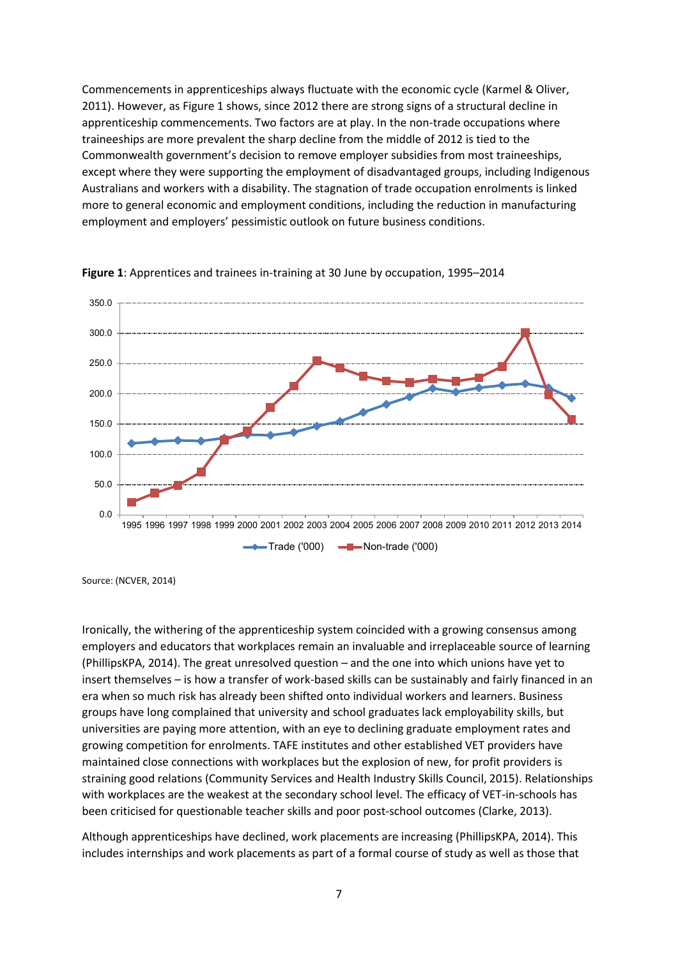Commencements in apprenticeships always fluctuate with the economic cycle (Karmel & Oliver, 2011). However, as Figure 1 shows, since 2012 there are strong signs of a structural decline in apprenticeship commencements. Two factors are at play. In the non-trade occupations where traineeships are more prevalent the sharp decline from the middle of 2012 is tied to the Commonwealth government's decision to remove employer subsidies from most traineeships, except where they were supporting the employment of disadvantaged groups, including Indigenous Australians and workers with a disability. The stagnation of trade occupation enrolments is linked more to general economic and employment conditions, including the reduction in manufacturing employment and employers' pessimistic outlook on future business conditions.



**Figure 1**: Apprentices and trainees in-training at 30 June by occupation, 1995–2014

Ironically, the withering of the apprenticeship system coincided with a growing consensus among employers and educators that workplaces remain an invaluable and irreplaceable source of learning (PhillipsKPA, 2014). The great unresolved question – and the one into which unions have yet to insert themselves – is how a transfer of work-based skills can be sustainably and fairly financed in an era when so much risk has already been shifted onto individual workers and learners. Business groups have long complained that university and school graduates lack employability skills, but universities are paying more attention, with an eye to declining graduate employment rates and growing competition for enrolments. TAFE institutes and other established VET providers have maintained close connections with workplaces but the explosion of new, for profit providers is straining good relations (Community Services and Health Industry Skills Council, 2015). Relationships with workplaces are the weakest at the secondary school level. The efficacy of VET-in-schools has been criticised for questionable teacher skills and poor post-school outcomes (Clarke, 2013).

Although apprenticeships have declined, work placements are increasing (PhillipsKPA, 2014). This includes internships and work placements as part of a formal course of study as well as those that

Source: (NCVER, 2014)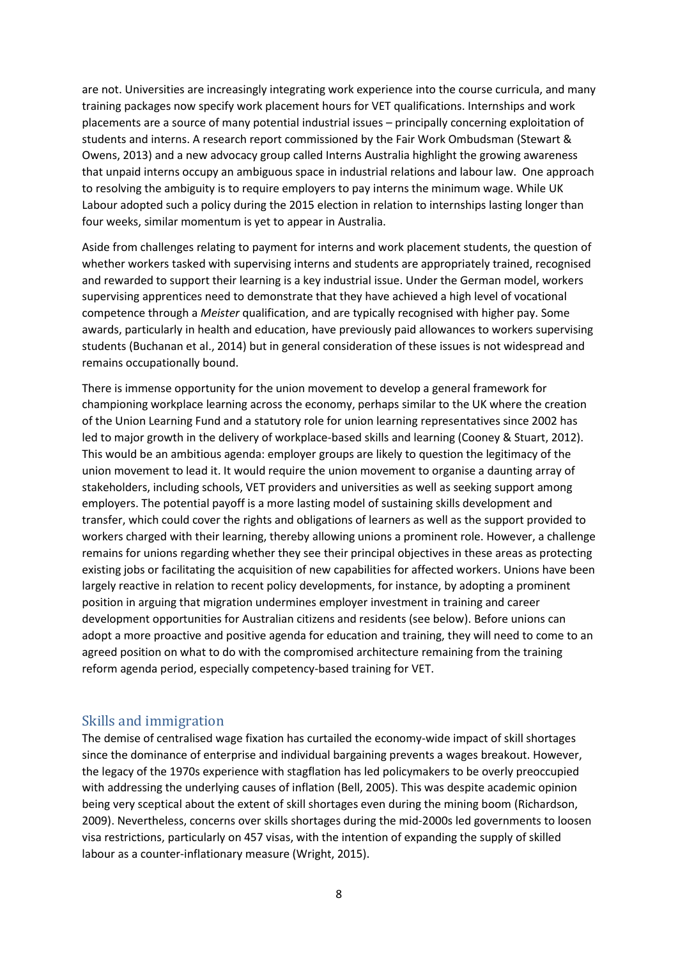are not. Universities are increasingly integrating work experience into the course curricula, and many training packages now specify work placement hours for VET qualifications. Internships and work placements are a source of many potential industrial issues – principally concerning exploitation of students and interns. A research report commissioned by the Fair Work Ombudsman (Stewart & Owens, 2013) and a new advocacy group called Interns Australia highlight the growing awareness that unpaid interns occupy an ambiguous space in industrial relations and labour law. One approach to resolving the ambiguity is to require employers to pay interns the minimum wage. While UK Labour adopted such a policy during the 2015 election in relation to internships lasting longer than four weeks, similar momentum is yet to appear in Australia.

Aside from challenges relating to payment for interns and work placement students, the question of whether workers tasked with supervising interns and students are appropriately trained, recognised and rewarded to support their learning is a key industrial issue. Under the German model, workers supervising apprentices need to demonstrate that they have achieved a high level of vocational competence through a *Meister* qualification, and are typically recognised with higher pay. Some awards, particularly in health and education, have previously paid allowances to workers supervising students (Buchanan et al., 2014) but in general consideration of these issues is not widespread and remains occupationally bound.

There is immense opportunity for the union movement to develop a general framework for championing workplace learning across the economy, perhaps similar to the UK where the creation of the Union Learning Fund and a statutory role for union learning representatives since 2002 has led to major growth in the delivery of workplace-based skills and learning (Cooney & Stuart, 2012). This would be an ambitious agenda: employer groups are likely to question the legitimacy of the union movement to lead it. It would require the union movement to organise a daunting array of stakeholders, including schools, VET providers and universities as well as seeking support among employers. The potential payoff is a more lasting model of sustaining skills development and transfer, which could cover the rights and obligations of learners as well as the support provided to workers charged with their learning, thereby allowing unions a prominent role. However, a challenge remains for unions regarding whether they see their principal objectives in these areas as protecting existing jobs or facilitating the acquisition of new capabilities for affected workers. Unions have been largely reactive in relation to recent policy developments, for instance, by adopting a prominent position in arguing that migration undermines employer investment in training and career development opportunities for Australian citizens and residents (see below). Before unions can adopt a more proactive and positive agenda for education and training, they will need to come to an agreed position on what to do with the compromised architecture remaining from the training reform agenda period, especially competency-based training for VET.

#### Skills and immigration

The demise of centralised wage fixation has curtailed the economy-wide impact of skill shortages since the dominance of enterprise and individual bargaining prevents a wages breakout. However, the legacy of the 1970s experience with stagflation has led policymakers to be overly preoccupied with addressing the underlying causes of inflation (Bell, 2005). This was despite academic opinion being very sceptical about the extent of skill shortages even during the mining boom (Richardson, 2009). Nevertheless, concerns over skills shortages during the mid-2000s led governments to loosen visa restrictions, particularly on 457 visas, with the intention of expanding the supply of skilled labour as a counter-inflationary measure (Wright, 2015).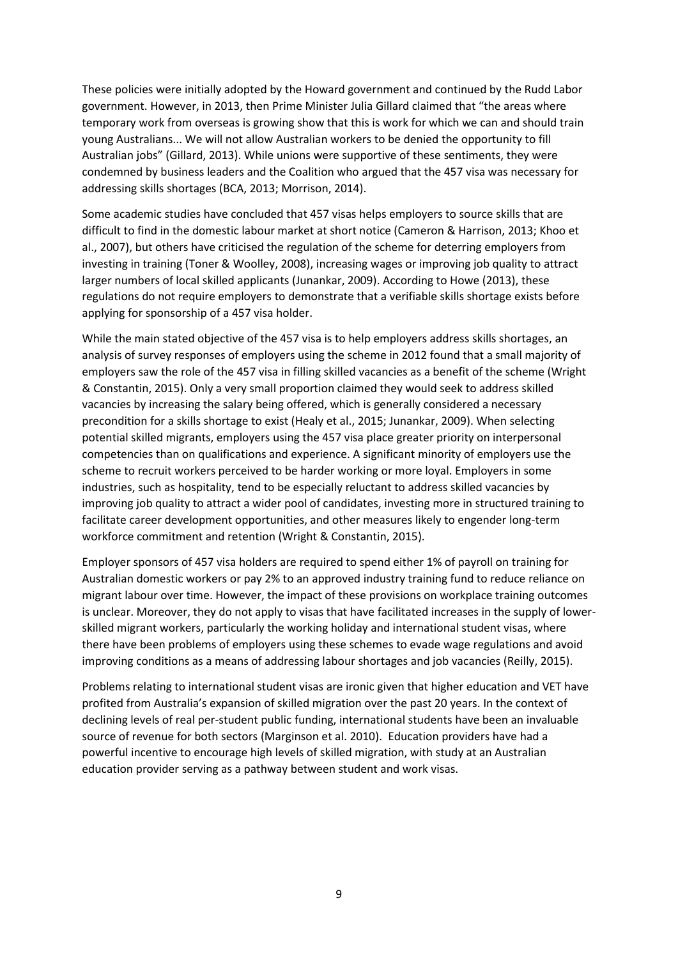These policies were initially adopted by the Howard government and continued by the Rudd Labor government. However, in 2013, then Prime Minister Julia Gillard claimed that "the areas where temporary work from overseas is growing show that this is work for which we can and should train young Australians... We will not allow Australian workers to be denied the opportunity to fill Australian jobs" (Gillard, 2013). While unions were supportive of these sentiments, they were condemned by business leaders and the Coalition who argued that the 457 visa was necessary for addressing skills shortages (BCA, 2013; Morrison, 2014).

Some academic studies have concluded that 457 visas helps employers to source skills that are difficult to find in the domestic labour market at short notice (Cameron & Harrison, 2013; Khoo et al., 2007), but others have criticised the regulation of the scheme for deterring employers from investing in training (Toner & Woolley, 2008), increasing wages or improving job quality to attract larger numbers of local skilled applicants (Junankar, 2009). According to Howe (2013), these regulations do not require employers to demonstrate that a verifiable skills shortage exists before applying for sponsorship of a 457 visa holder.

While the main stated objective of the 457 visa is to help employers address skills shortages, an analysis of survey responses of employers using the scheme in 2012 found that a small majority of employers saw the role of the 457 visa in filling skilled vacancies as a benefit of the scheme (Wright & Constantin, 2015). Only a very small proportion claimed they would seek to address skilled vacancies by increasing the salary being offered, which is generally considered a necessary precondition for a skills shortage to exist (Healy et al., 2015; Junankar, 2009). When selecting potential skilled migrants, employers using the 457 visa place greater priority on interpersonal competencies than on qualifications and experience. A significant minority of employers use the scheme to recruit workers perceived to be harder working or more loyal. Employers in some industries, such as hospitality, tend to be especially reluctant to address skilled vacancies by improving job quality to attract a wider pool of candidates, investing more in structured training to facilitate career development opportunities, and other measures likely to engender long-term workforce commitment and retention (Wright & Constantin, 2015).

Employer sponsors of 457 visa holders are required to spend either 1% of payroll on training for Australian domestic workers or pay 2% to an approved industry training fund to reduce reliance on migrant labour over time. However, the impact of these provisions on workplace training outcomes is unclear. Moreover, they do not apply to visas that have facilitated increases in the supply of lowerskilled migrant workers, particularly the working holiday and international student visas, where there have been problems of employers using these schemes to evade wage regulations and avoid improving conditions as a means of addressing labour shortages and job vacancies (Reilly, 2015).

Problems relating to international student visas are ironic given that higher education and VET have profited from Australia's expansion of skilled migration over the past 20 years. In the context of declining levels of real per-student public funding, international students have been an invaluable source of revenue for both sectors (Marginson et al. 2010). Education providers have had a powerful incentive to encourage high levels of skilled migration, with study at an Australian education provider serving as a pathway between student and work visas.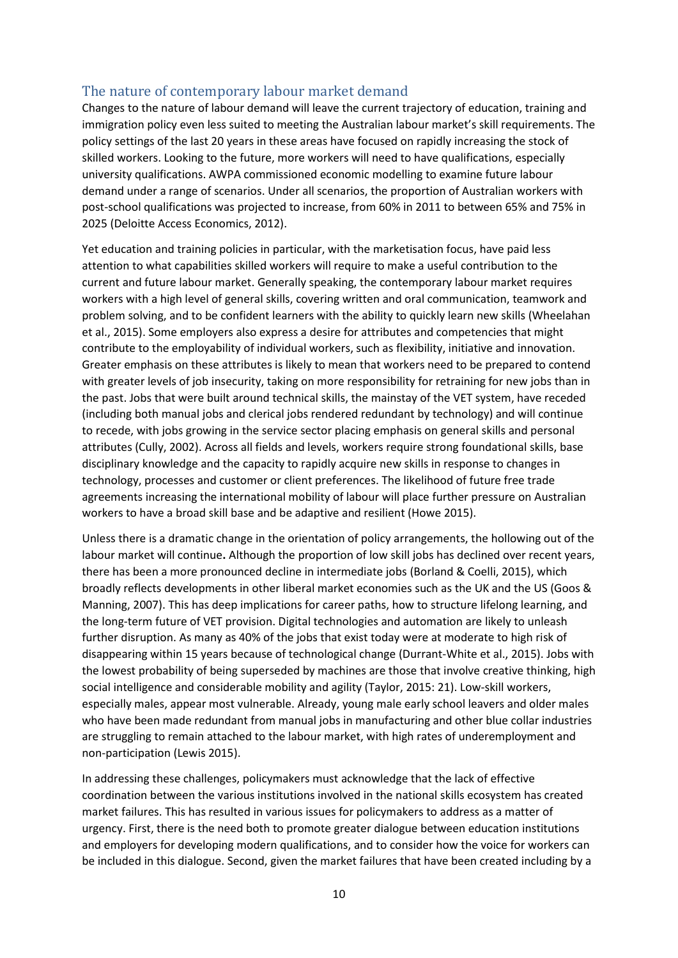# The nature of contemporary labour market demand

Changes to the nature of labour demand will leave the current trajectory of education, training and immigration policy even less suited to meeting the Australian labour market's skill requirements. The policy settings of the last 20 years in these areas have focused on rapidly increasing the stock of skilled workers. Looking to the future, more workers will need to have qualifications, especially university qualifications. AWPA commissioned economic modelling to examine future labour demand under a range of scenarios. Under all scenarios, the proportion of Australian workers with post-school qualifications was projected to increase, from 60% in 2011 to between 65% and 75% in 2025 (Deloitte Access Economics, 2012).

Yet education and training policies in particular, with the marketisation focus, have paid less attention to what capabilities skilled workers will require to make a useful contribution to the current and future labour market. Generally speaking, the contemporary labour market requires workers with a high level of general skills, covering written and oral communication, teamwork and problem solving, and to be confident learners with the ability to quickly learn new skills (Wheelahan et al., 2015). Some employers also express a desire for attributes and competencies that might contribute to the employability of individual workers, such as flexibility, initiative and innovation. Greater emphasis on these attributes is likely to mean that workers need to be prepared to contend with greater levels of job insecurity, taking on more responsibility for retraining for new jobs than in the past. Jobs that were built around technical skills, the mainstay of the VET system, have receded (including both manual jobs and clerical jobs rendered redundant by technology) and will continue to recede, with jobs growing in the service sector placing emphasis on general skills and personal attributes (Cully, 2002). Across all fields and levels, workers require strong foundational skills, base disciplinary knowledge and the capacity to rapidly acquire new skills in response to changes in technology, processes and customer or client preferences. The likelihood of future free trade agreements increasing the international mobility of labour will place further pressure on Australian workers to have a broad skill base and be adaptive and resilient (Howe 2015).

Unless there is a dramatic change in the orientation of policy arrangements, the hollowing out of the labour market will continue**.** Although the proportion of low skill jobs has declined over recent years, there has been a more pronounced decline in intermediate jobs (Borland & Coelli, 2015), which broadly reflects developments in other liberal market economies such as the UK and the US (Goos & Manning, 2007). This has deep implications for career paths, how to structure lifelong learning, and the long-term future of VET provision. Digital technologies and automation are likely to unleash further disruption. As many as 40% of the jobs that exist today were at moderate to high risk of disappearing within 15 years because of technological change (Durrant-White et al., 2015). Jobs with the lowest probability of being superseded by machines are those that involve creative thinking, high social intelligence and considerable mobility and agility (Taylor, 2015: 21). Low-skill workers, especially males, appear most vulnerable. Already, young male early school leavers and older males who have been made redundant from manual jobs in manufacturing and other blue collar industries are struggling to remain attached to the labour market, with high rates of underemployment and non-participation (Lewis 2015).

In addressing these challenges, policymakers must acknowledge that the lack of effective coordination between the various institutions involved in the national skills ecosystem has created market failures. This has resulted in various issues for policymakers to address as a matter of urgency. First, there is the need both to promote greater dialogue between education institutions and employers for developing modern qualifications, and to consider how the voice for workers can be included in this dialogue. Second, given the market failures that have been created including by a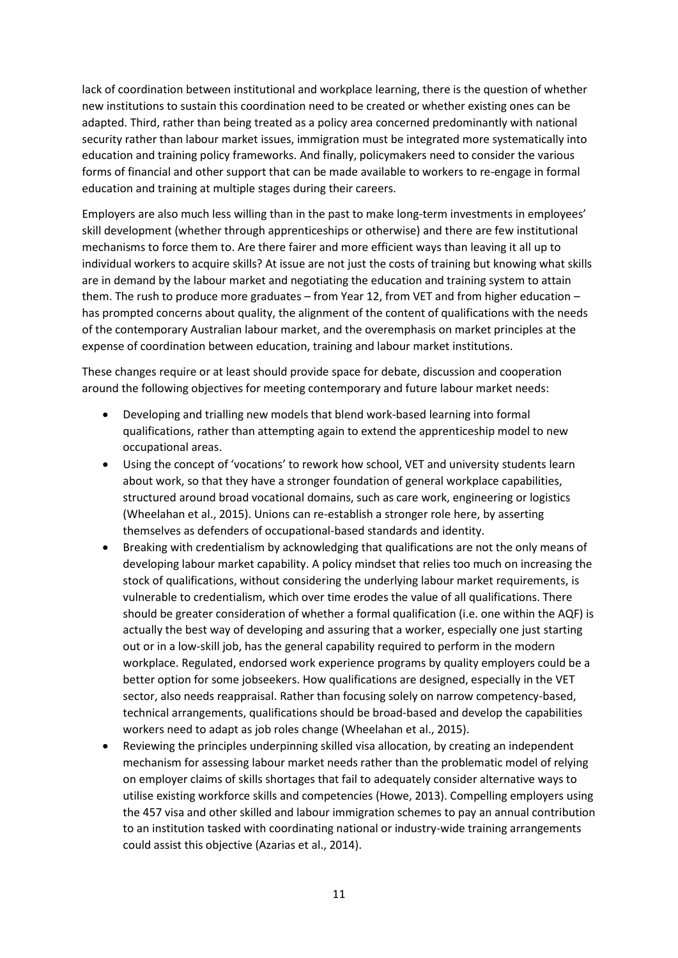lack of coordination between institutional and workplace learning, there is the question of whether new institutions to sustain this coordination need to be created or whether existing ones can be adapted. Third, rather than being treated as a policy area concerned predominantly with national security rather than labour market issues, immigration must be integrated more systematically into education and training policy frameworks. And finally, policymakers need to consider the various forms of financial and other support that can be made available to workers to re-engage in formal education and training at multiple stages during their careers.

Employers are also much less willing than in the past to make long-term investments in employees' skill development (whether through apprenticeships or otherwise) and there are few institutional mechanisms to force them to. Are there fairer and more efficient ways than leaving it all up to individual workers to acquire skills? At issue are not just the costs of training but knowing what skills are in demand by the labour market and negotiating the education and training system to attain them. The rush to produce more graduates – from Year 12, from VET and from higher education – has prompted concerns about quality, the alignment of the content of qualifications with the needs of the contemporary Australian labour market, and the overemphasis on market principles at the expense of coordination between education, training and labour market institutions.

These changes require or at least should provide space for debate, discussion and cooperation around the following objectives for meeting contemporary and future labour market needs:

- Developing and trialling new models that blend work-based learning into formal qualifications, rather than attempting again to extend the apprenticeship model to new occupational areas.
- Using the concept of 'vocations' to rework how school, VET and university students learn about work, so that they have a stronger foundation of general workplace capabilities, structured around broad vocational domains, such as care work, engineering or logistics (Wheelahan et al., 2015). Unions can re-establish a stronger role here, by asserting themselves as defenders of occupational-based standards and identity.
- Breaking with credentialism by acknowledging that qualifications are not the only means of developing labour market capability. A policy mindset that relies too much on increasing the stock of qualifications, without considering the underlying labour market requirements, is vulnerable to credentialism, which over time erodes the value of all qualifications. There should be greater consideration of whether a formal qualification (i.e. one within the AQF) is actually the best way of developing and assuring that a worker, especially one just starting out or in a low-skill job, has the general capability required to perform in the modern workplace. Regulated, endorsed work experience programs by quality employers could be a better option for some jobseekers. How qualifications are designed, especially in the VET sector, also needs reappraisal. Rather than focusing solely on narrow competency-based, technical arrangements, qualifications should be broad-based and develop the capabilities workers need to adapt as job roles change (Wheelahan et al., 2015).
- Reviewing the principles underpinning skilled visa allocation, by creating an independent mechanism for assessing labour market needs rather than the problematic model of relying on employer claims of skills shortages that fail to adequately consider alternative ways to utilise existing workforce skills and competencies (Howe, 2013). Compelling employers using the 457 visa and other skilled and labour immigration schemes to pay an annual contribution to an institution tasked with coordinating national or industry-wide training arrangements could assist this objective (Azarias et al., 2014).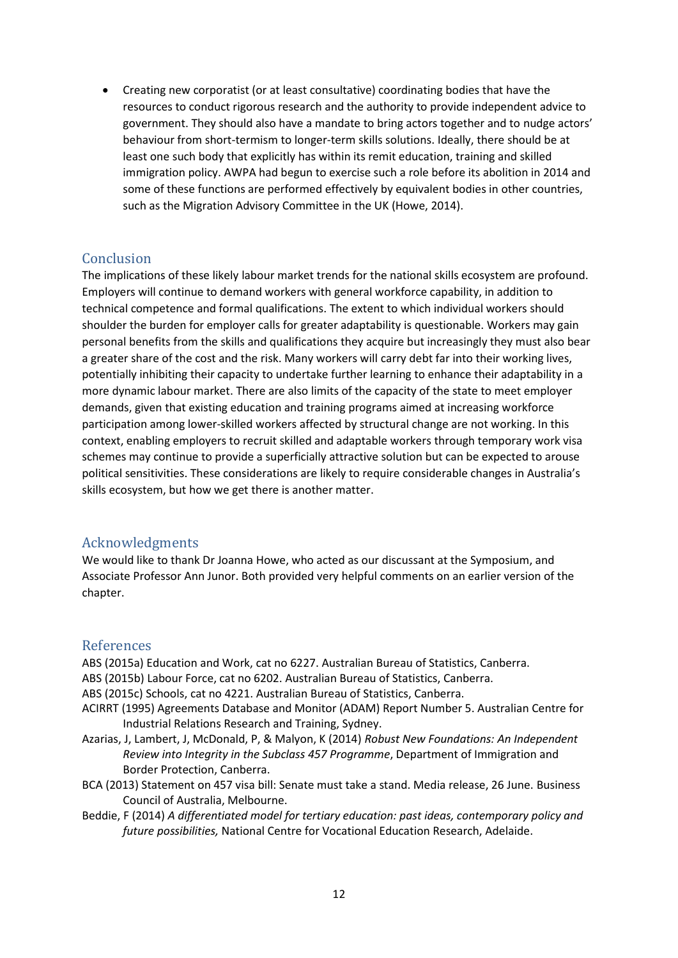Creating new corporatist (or at least consultative) coordinating bodies that have the resources to conduct rigorous research and the authority to provide independent advice to government. They should also have a mandate to bring actors together and to nudge actors' behaviour from short-termism to longer-term skills solutions. Ideally, there should be at least one such body that explicitly has within its remit education, training and skilled immigration policy. AWPA had begun to exercise such a role before its abolition in 2014 and some of these functions are performed effectively by equivalent bodies in other countries, such as the Migration Advisory Committee in the UK (Howe, 2014).

# Conclusion

The implications of these likely labour market trends for the national skills ecosystem are profound. Employers will continue to demand workers with general workforce capability, in addition to technical competence and formal qualifications. The extent to which individual workers should shoulder the burden for employer calls for greater adaptability is questionable. Workers may gain personal benefits from the skills and qualifications they acquire but increasingly they must also bear a greater share of the cost and the risk. Many workers will carry debt far into their working lives, potentially inhibiting their capacity to undertake further learning to enhance their adaptability in a more dynamic labour market. There are also limits of the capacity of the state to meet employer demands, given that existing education and training programs aimed at increasing workforce participation among lower-skilled workers affected by structural change are not working. In this context, enabling employers to recruit skilled and adaptable workers through temporary work visa schemes may continue to provide a superficially attractive solution but can be expected to arouse political sensitivities. These considerations are likely to require considerable changes in Australia's skills ecosystem, but how we get there is another matter.

# Acknowledgments

We would like to thank Dr Joanna Howe, who acted as our discussant at the Symposium, and Associate Professor Ann Junor. Both provided very helpful comments on an earlier version of the chapter.

# References

ABS (2015a) Education and Work, cat no 6227. Australian Bureau of Statistics, Canberra.

ABS (2015b) Labour Force, cat no 6202. Australian Bureau of Statistics, Canberra.

ABS (2015c) Schools, cat no 4221. Australian Bureau of Statistics, Canberra.

- ACIRRT (1995) Agreements Database and Monitor (ADAM) Report Number 5. Australian Centre for Industrial Relations Research and Training, Sydney.
- Azarias, J, Lambert, J, McDonald, P, & Malyon, K (2014) *Robust New Foundations: An Independent Review into Integrity in the Subclass 457 Programme*, Department of Immigration and Border Protection, Canberra.
- BCA (2013) Statement on 457 visa bill: Senate must take a stand. Media release, 26 June. Business Council of Australia, Melbourne.
- Beddie, F (2014) *A differentiated model for tertiary education: past ideas, contemporary policy and future possibilities,* National Centre for Vocational Education Research, Adelaide.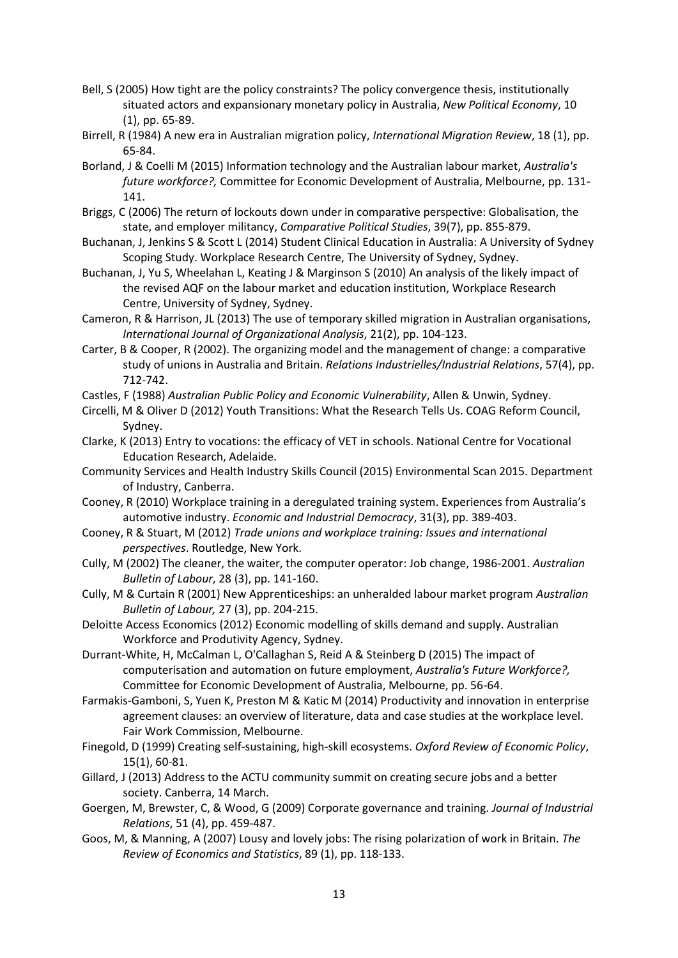- Bell, S (2005) How tight are the policy constraints? The policy convergence thesis, institutionally situated actors and expansionary monetary policy in Australia, *New Political Economy*, 10 (1), pp. 65-89.
- Birrell, R (1984) A new era in Australian migration policy, *International Migration Review*, 18 (1), pp. 65-84.
- Borland, J & Coelli M (2015) Information technology and the Australian labour market, *Australia's future workforce?,* Committee for Economic Development of Australia, Melbourne, pp. 131- 141.
- Briggs, C (2006) The return of lockouts down under in comparative perspective: Globalisation, the state, and employer militancy, *Comparative Political Studies*, 39(7), pp. 855-879.
- Buchanan, J, Jenkins S & Scott L (2014) Student Clinical Education in Australia: A University of Sydney Scoping Study. Workplace Research Centre, The University of Sydney, Sydney.
- Buchanan, J, Yu S, Wheelahan L, Keating J & Marginson S (2010) An analysis of the likely impact of the revised AQF on the labour market and education institution, Workplace Research Centre, University of Sydney, Sydney.
- Cameron, R & Harrison, JL (2013) The use of temporary skilled migration in Australian organisations, *International Journal of Organizational Analysis*, 21(2), pp. 104-123.
- Carter, B & Cooper, R (2002). The organizing model and the management of change: a comparative study of unions in Australia and Britain. *Relations Industrielles/Industrial Relations*, 57(4), pp. 712-742.
- Castles, F (1988) *Australian Public Policy and Economic Vulnerability*, Allen & Unwin, Sydney.
- Circelli, M & Oliver D (2012) Youth Transitions: What the Research Tells Us. COAG Reform Council, Sydney.
- Clarke, K (2013) Entry to vocations: the efficacy of VET in schools. National Centre for Vocational Education Research, Adelaide.
- Community Services and Health Industry Skills Council (2015) Environmental Scan 2015. Department of Industry, Canberra.
- Cooney, R (2010) Workplace training in a deregulated training system. Experiences from Australia's automotive industry. *Economic and Industrial Democracy*, 31(3), pp. 389-403.
- Cooney, R & Stuart, M (2012) *Trade unions and workplace training: Issues and international perspectives*. Routledge, New York.
- Cully, M (2002) The cleaner, the waiter, the computer operator: Job change, 1986-2001. *Australian Bulletin of Labour*, 28 (3), pp. 141-160.
- Cully, M & Curtain R (2001) New Apprenticeships: an unheralded labour market program *Australian Bulletin of Labour,* 27 (3), pp. 204-215.
- Deloitte Access Economics (2012) Economic modelling of skills demand and supply. Australian Workforce and Produtivity Agency, Sydney.
- Durrant-White, H, McCalman L, O'Callaghan S, Reid A & Steinberg D (2015) The impact of computerisation and automation on future employment, *Australia's Future Workforce?,*  Committee for Economic Development of Australia, Melbourne, pp. 56-64.
- Farmakis-Gamboni, S, Yuen K, Preston M & Katic M (2014) Productivity and innovation in enterprise agreement clauses: an overview of literature, data and case studies at the workplace level. Fair Work Commission, Melbourne.
- Finegold, D (1999) Creating self-sustaining, high-skill ecosystems. *Oxford Review of Economic Policy*, 15(1), 60-81.
- Gillard, J (2013) Address to the ACTU community summit on creating secure jobs and a better society. Canberra, 14 March.
- Goergen, M, Brewster, C, & Wood, G (2009) Corporate governance and training. *Journal of Industrial Relations*, 51 (4), pp. 459-487.
- Goos, M, & Manning, A (2007) Lousy and lovely jobs: The rising polarization of work in Britain. *The Review of Economics and Statistics*, 89 (1), pp. 118-133.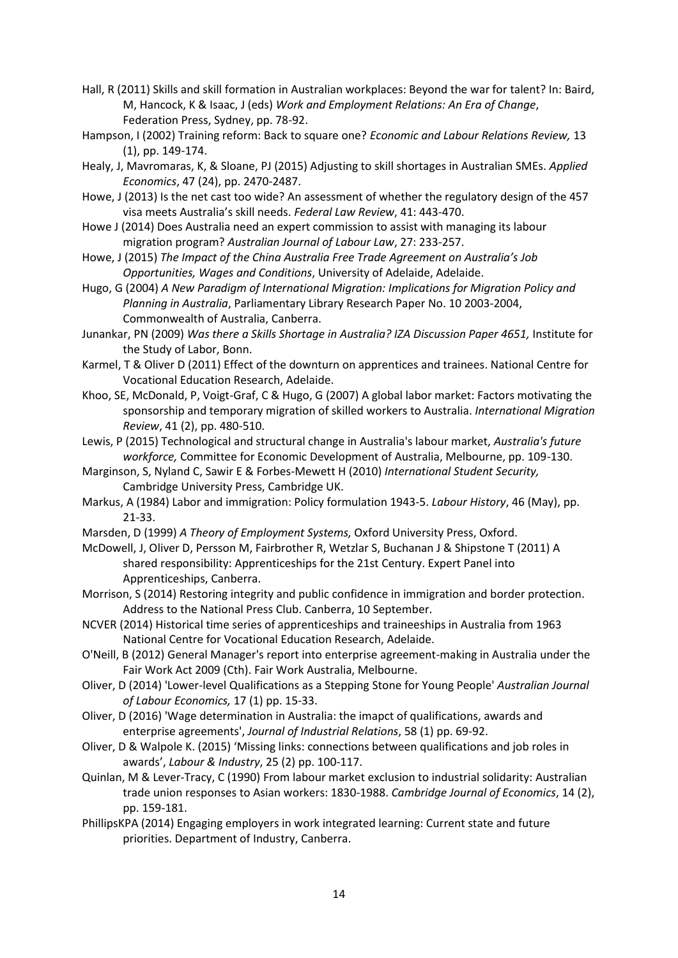- Hall, R (2011) Skills and skill formation in Australian workplaces: Beyond the war for talent? In: Baird, M, Hancock, K & Isaac, J (eds) *Work and Employment Relations: An Era of Change*, Federation Press, Sydney, pp. 78-92.
- Hampson, I (2002) Training reform: Back to square one? *Economic and Labour Relations Review,* 13 (1), pp. 149-174.
- Healy, J, Mavromaras, K, & Sloane, PJ (2015) Adjusting to skill shortages in Australian SMEs. *Applied Economics*, 47 (24), pp. 2470-2487.
- Howe, J (2013) Is the net cast too wide? An assessment of whether the regulatory design of the 457 visa meets Australia's skill needs. *Federal Law Review*, 41: 443-470.
- Howe J (2014) Does Australia need an expert commission to assist with managing its labour migration program? *Australian Journal of Labour Law*, 27: 233-257.
- Howe, J (2015) *The Impact of the China Australia Free Trade Agreement on Australia's Job Opportunities, Wages and Conditions*, University of Adelaide, Adelaide.
- Hugo, G (2004) *A New Paradigm of International Migration: Implications for Migration Policy and Planning in Australia*, Parliamentary Library Research Paper No. 10 2003-2004, Commonwealth of Australia, Canberra.
- Junankar, PN (2009) *Was there a Skills Shortage in Australia? IZA Discussion Paper 4651,* Institute for the Study of Labor, Bonn.
- Karmel, T & Oliver D (2011) Effect of the downturn on apprentices and trainees. National Centre for Vocational Education Research, Adelaide.
- Khoo, SE, McDonald, P, Voigt-Graf, C & Hugo, G (2007) A global labor market: Factors motivating the sponsorship and temporary migration of skilled workers to Australia. *International Migration Review*, 41 (2), pp. 480-510.
- Lewis, P (2015) Technological and structural change in Australia's labour market, *Australia's future workforce,* Committee for Economic Development of Australia, Melbourne, pp. 109-130.
- Marginson, S, Nyland C, Sawir E & Forbes-Mewett H (2010) *International Student Security,*  Cambridge University Press, Cambridge UK.
- Markus, A (1984) Labor and immigration: Policy formulation 1943-5. *Labour History*, 46 (May), pp. 21-33.
- Marsden, D (1999) *A Theory of Employment Systems,* Oxford University Press, Oxford.
- McDowell, J, Oliver D, Persson M, Fairbrother R, Wetzlar S, Buchanan J & Shipstone T (2011) A shared responsibility: Apprenticeships for the 21st Century. Expert Panel into Apprenticeships, Canberra.
- Morrison, S (2014) Restoring integrity and public confidence in immigration and border protection. Address to the National Press Club. Canberra, 10 September.
- NCVER (2014) Historical time series of apprenticeships and traineeships in Australia from 1963 National Centre for Vocational Education Research, Adelaide.
- O'Neill, B (2012) General Manager's report into enterprise agreement-making in Australia under the Fair Work Act 2009 (Cth). Fair Work Australia, Melbourne.
- Oliver, D (2014) 'Lower-level Qualifications as a Stepping Stone for Young People' *Australian Journal of Labour Economics,* 17 (1) pp. 15-33.
- Oliver, D (2016) 'Wage determination in Australia: the imapct of qualifications, awards and enterprise agreements', *Journal of Industrial Relations*, 58 (1) pp. 69-92.
- Oliver, D & Walpole K. (2015) 'Missing links: connections between qualifications and job roles in awards', *Labour & Industry*, 25 (2) pp. 100-117.
- Quinlan, M & Lever-Tracy, C (1990) From labour market exclusion to industrial solidarity: Australian trade union responses to Asian workers: 1830-1988. *Cambridge Journal of Economics*, 14 (2), pp. 159-181.
- PhillipsKPA (2014) Engaging employers in work integrated learning: Current state and future priorities. Department of Industry, Canberra.